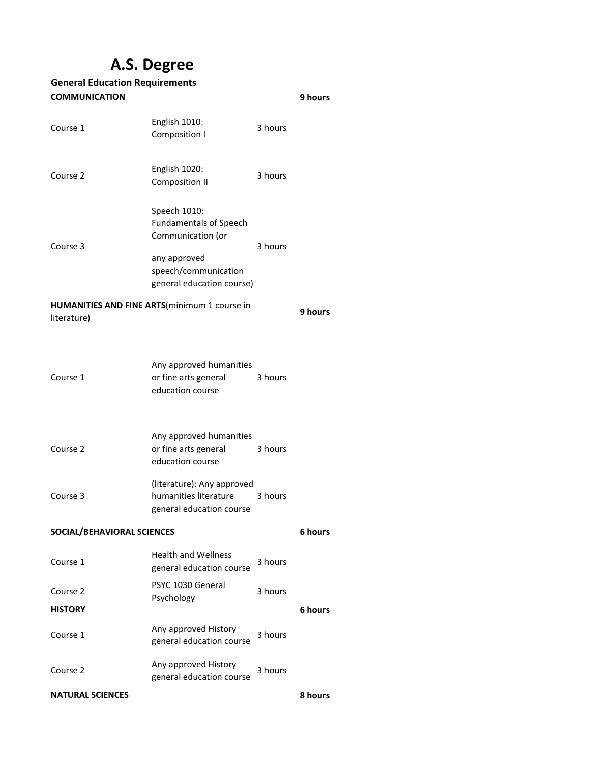## **A.S. Degree**

| <b>General Education Requirements</b> |                                                                                                                                         |         |         |  |  |
|---------------------------------------|-----------------------------------------------------------------------------------------------------------------------------------------|---------|---------|--|--|
| <b>COMMUNICATION</b><br>9 hours       |                                                                                                                                         |         |         |  |  |
| Course 1                              | English 1010:<br>Composition I                                                                                                          | 3 hours |         |  |  |
| Course 2                              | English 1020:<br><b>Composition II</b>                                                                                                  | 3 hours |         |  |  |
| Course 3                              | Speech 1010:<br><b>Fundamentals of Speech</b><br>Communication (or<br>any approved<br>speech/communication<br>general education course) | 3 hours |         |  |  |
|                                       | HUMANITIES AND FINE ARTS(minimum 1 course in                                                                                            |         | 9 hours |  |  |
| literature)                           |                                                                                                                                         |         |         |  |  |
| Course 1                              | Any approved humanities<br>or fine arts general<br>education course                                                                     | 3 hours |         |  |  |
| Course 2                              | Any approved humanities<br>or fine arts general<br>education course                                                                     | 3 hours |         |  |  |
| Course 3                              | (literature): Any approved<br>humanities literature<br>general education course                                                         | 3 hours |         |  |  |
| SOCIAL/BEHAVIORAL SCIENCES            |                                                                                                                                         |         | 6 hours |  |  |
| Course 1                              | <b>Health and Wellness</b><br>general education course                                                                                  | 3 hours |         |  |  |
| Course 2                              | PSYC 1030 General                                                                                                                       | 3 hours |         |  |  |
| <b>HISTORY</b>                        | Psychology                                                                                                                              |         | 6 hours |  |  |
| Course 1                              | Any approved History<br>general education course                                                                                        | 3 hours |         |  |  |
| Course 2                              | Any approved History<br>general education course                                                                                        | 3 hours |         |  |  |
| <b>NATURAL SCIENCES</b>               |                                                                                                                                         |         | 8 hours |  |  |